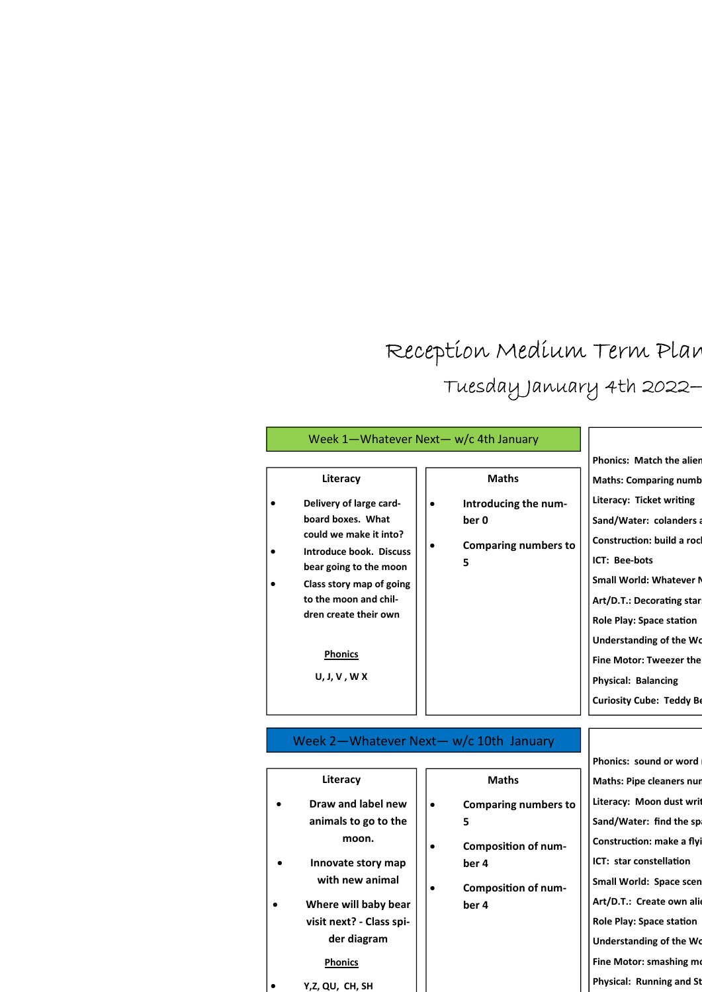## Reception Medium Term Plan Tuesday January 4th 2022-

|                                                                                                                                                                                                                                                         | Week 1-Whatever Next- w/c 4th January                                                          |                                                                                                                                                                                                                                                                                                                                                                                                              |
|---------------------------------------------------------------------------------------------------------------------------------------------------------------------------------------------------------------------------------------------------------|------------------------------------------------------------------------------------------------|--------------------------------------------------------------------------------------------------------------------------------------------------------------------------------------------------------------------------------------------------------------------------------------------------------------------------------------------------------------------------------------------------------------|
| Literacy<br>Delivery of large card-<br>board boxes. What<br>could we make it into?<br>Introduce book. Discuss<br>bear going to the moon<br>Class story map of going<br>to the moon and chil-<br>dren create their own<br><b>Phonics</b><br>U, J, V, W X | <b>Maths</b><br>Introducing the num-<br>ber 0<br><b>Comparing numbers to</b><br>$\bullet$<br>5 | <b>Phonics: Match the alien</b><br><b>Maths: Comparing numb</b><br>Literacy: Ticket writing<br>Sand/Water: colanders a<br><b>Construction: build a rocl</b><br>ICT: Bee-bots<br><b>Small World: Whatever N</b><br>Art/D.T.: Decorating star<br><b>Role Play: Space station</b><br>Understanding of the Wo<br><b>Fine Motor: Tweezer the</b><br><b>Physical: Balancing</b><br><b>Curiosity Cube: Teddy Be</b> |
|                                                                                                                                                                                                                                                         | Week 2-Whatever Next- w/c 10th January                                                         |                                                                                                                                                                                                                                                                                                                                                                                                              |
|                                                                                                                                                                                                                                                         |                                                                                                | Phonics: sound or word                                                                                                                                                                                                                                                                                                                                                                                       |
| Literacy                                                                                                                                                                                                                                                | <b>Maths</b>                                                                                   | <b>Maths: Pipe cleaners nur</b>                                                                                                                                                                                                                                                                                                                                                                              |
| Draw and label new                                                                                                                                                                                                                                      | <b>Comparing numbers to</b><br>$\bullet$                                                       | Literacy: Moon dust writ                                                                                                                                                                                                                                                                                                                                                                                     |
| animals to go to the                                                                                                                                                                                                                                    | 5                                                                                              | Sand/Water: find the sp.                                                                                                                                                                                                                                                                                                                                                                                     |
| moon.                                                                                                                                                                                                                                                   | <b>Composition of num-</b>                                                                     | Construction: make a flyi                                                                                                                                                                                                                                                                                                                                                                                    |
| Innovate story map                                                                                                                                                                                                                                      | ber 4                                                                                          | ICT: star constellation                                                                                                                                                                                                                                                                                                                                                                                      |
| with new animal                                                                                                                                                                                                                                         | <b>Composition of num-</b>                                                                     | Small World: Space scen                                                                                                                                                                                                                                                                                                                                                                                      |
| Where will baby bear                                                                                                                                                                                                                                    | ber 4                                                                                          | Art/D.T.: Create own alie                                                                                                                                                                                                                                                                                                                                                                                    |

visit next? - Class spider diagram

**Phonics** Y,Z, QU, CH, SH Role Play: Space station Understanding of the Wo Fine Motor: smashing mo Physical: Running and St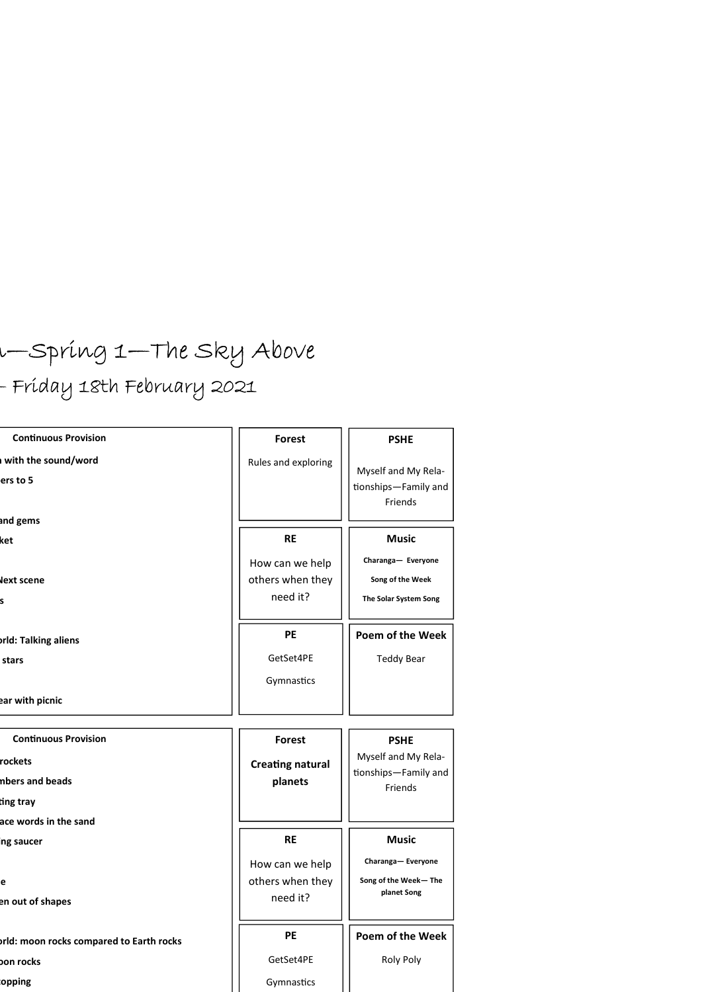# r—Spring 1—The Sky Above - Fríday 18th February 2021

| <b>Continuous Provision</b>              | <b>Forest</b>           | <b>PSHE</b>                                            |
|------------------------------------------|-------------------------|--------------------------------------------------------|
| with the sound/word                      | Rules and exploring     |                                                        |
| ers to 5                                 |                         | Myself and My Rela-<br>tionships-Family and<br>Friends |
| and gems                                 |                         |                                                        |
| ket                                      | <b>RE</b>               | <b>Music</b>                                           |
|                                          | How can we help         | Charanga- Everyone                                     |
| <b>Next scene</b>                        | others when they        | Song of the Week                                       |
| s                                        | need it?                | The Solar System Song                                  |
| <b>orld: Talking aliens</b>              | PE                      | Poem of the Week                                       |
| stars                                    | GetSet4PE               | <b>Teddy Bear</b>                                      |
|                                          | Gymnastics              |                                                        |
| ear with picnic                          |                         |                                                        |
| <b>Continuous Provision</b>              | <b>Forest</b>           | <b>PSHE</b>                                            |
| rockets                                  | <b>Creating natural</b> | Myself and My Rela-                                    |
| nbers and beads                          | planets                 | tionships-Family and<br>Friends                        |
|                                          |                         |                                                        |
| ting tray                                |                         |                                                        |
| ace words in the sand                    |                         |                                                        |
| ing saucer                               | <b>RE</b>               | <b>Music</b>                                           |
|                                          | How can we help         | Charanga- Everyone                                     |
| e                                        | others when they        | Song of the Week-The                                   |
| en out of shapes                         | need it?                | planet Song                                            |
| prid: moon rocks compared to Earth rocks | PE                      |                                                        |
| bon rocks                                | GetSet4PE               | Poem of the Week<br>Roly Poly                          |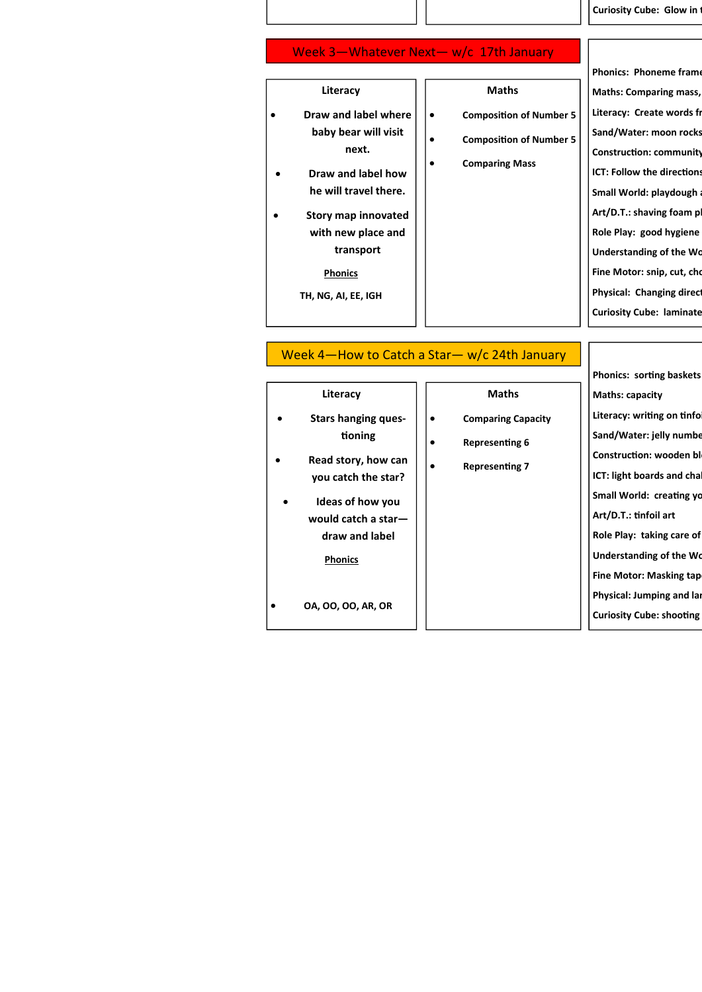Curiosity Cube: Glow in

#### Week 3—Whatever Next— w/c 17th January

|                                                                                                                                                                                                                   |                                                                                                                  | <b>Phonics: Phoneme frame</b>                                                                                                                                                                                                                                                                               |
|-------------------------------------------------------------------------------------------------------------------------------------------------------------------------------------------------------------------|------------------------------------------------------------------------------------------------------------------|-------------------------------------------------------------------------------------------------------------------------------------------------------------------------------------------------------------------------------------------------------------------------------------------------------------|
| Literacy                                                                                                                                                                                                          | <b>Maths</b>                                                                                                     | <b>Maths: Comparing mass,</b>                                                                                                                                                                                                                                                                               |
| Draw and label where<br>٠<br>baby bear will visit<br>next.<br>Draw and label how<br>٠<br>he will travel there.<br>Story map innovated<br>with new place and<br>transport<br><b>Phonics</b><br>TH, NG, AI, EE, IGH | <b>Composition of Number 5</b><br>$\bullet$<br><b>Composition of Number 5</b><br>٠<br><b>Comparing Mass</b><br>٠ | Literacy: Create words fr<br>Sand/Water: moon rocks<br><b>Construction: community</b><br><b>ICT: Follow the directions</b><br>Small World: playdough a<br>Art/D.T.: shaving foam pl<br>Role Play: good hygiene<br>Understanding of the Wo<br>Fine Motor: snip, cut, cho<br><b>Physical: Changing direct</b> |
|                                                                                                                                                                                                                   |                                                                                                                  | <b>Curiosity Cube: laminate</b>                                                                                                                                                                                                                                                                             |
|                                                                                                                                                                                                                   |                                                                                                                  |                                                                                                                                                                                                                                                                                                             |

#### Week 4—How to Catch a Star— w/c 24th January

|                                                                                                                                             |                                                                                       | <b>Phonics: sorting baskets</b>                                                                                                                                       |
|---------------------------------------------------------------------------------------------------------------------------------------------|---------------------------------------------------------------------------------------|-----------------------------------------------------------------------------------------------------------------------------------------------------------------------|
| Literacy                                                                                                                                    | <b>Maths</b>                                                                          | <b>Maths: capacity</b>                                                                                                                                                |
| <b>Stars hanging ques-</b><br>$\bullet$<br>tioning<br>Read story, how can<br>you catch the star?<br>Ideas of how you<br>would catch a star- | <b>Comparing Capacity</b><br>٠<br><b>Representing 6</b><br><b>Representing 7</b><br>٠ | Literacy: writing on tinfol<br>Sand/Water: jelly numbe<br>Construction: wooden bl<br>ICT: light boards and chall<br>Small World: creating yo<br>Art/D.T.: tinfoil art |
| draw and label                                                                                                                              |                                                                                       | Role Play: taking care of                                                                                                                                             |
| <b>Phonics</b>                                                                                                                              |                                                                                       | Understanding of the Wo<br><b>Fine Motor: Masking tap</b>                                                                                                             |
| 0A, 00, 00, AR, OR<br>$\bullet$                                                                                                             |                                                                                       | Physical: Jumping and lar<br><b>Curiosity Cube: shooting</b>                                                                                                          |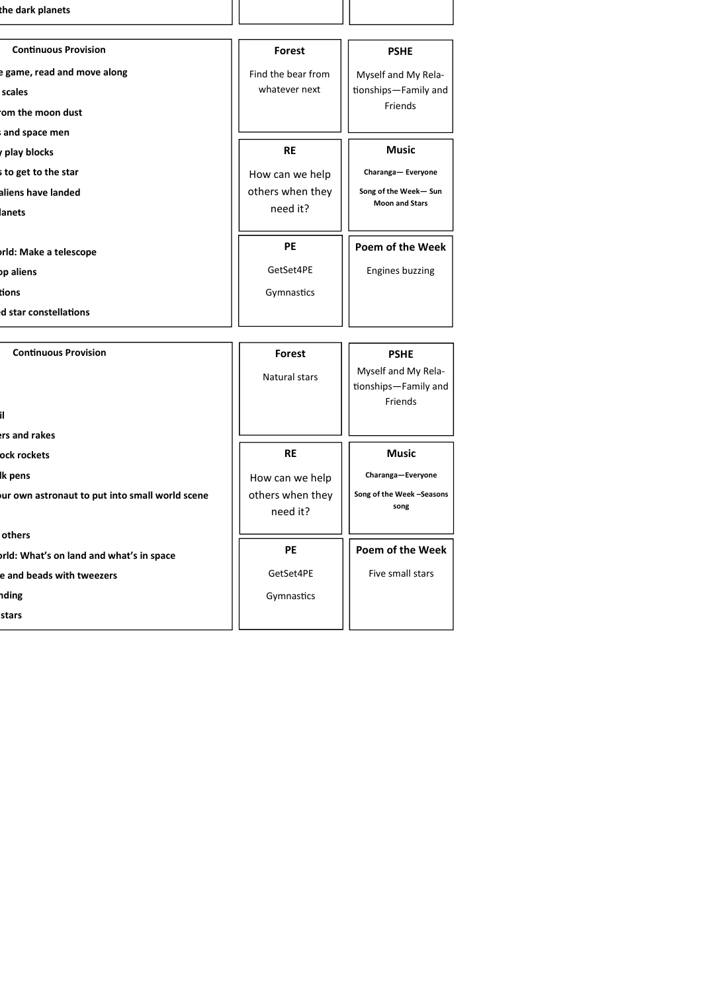| the dark planets                                                           |                                                 |                                                                       |
|----------------------------------------------------------------------------|-------------------------------------------------|-----------------------------------------------------------------------|
| <b>Continuous Provision</b>                                                | Forest                                          | <b>PSHE</b>                                                           |
| e game, read and move along<br>scales<br>om the moon dust<br>and space men | Find the bear from<br>whatever next             | Myself and My Rela-<br>tionships-Family and<br>Friends                |
| play blocks                                                                | <b>RE</b>                                       | <b>Music</b>                                                          |
| s to get to the star<br>aliens have landed<br>lanets                       | How can we help<br>others when they<br>need it? | Charanga- Everyone<br>Song of the Week-Sun<br><b>Moon and Stars</b>   |
| rld: Make a telescope                                                      | <b>PE</b>                                       | Poem of the Week                                                      |
| bp aliens                                                                  | GetSet4PE                                       | <b>Engines buzzing</b>                                                |
| tions                                                                      | Gymnastics                                      |                                                                       |
| d star constellations                                                      |                                                 |                                                                       |
|                                                                            |                                                 |                                                                       |
| <b>Continuous Provision</b>                                                | <b>Forest</b><br>Natural stars                  | <b>PSHE</b><br>Myself and My Rela-<br>tionships-Family and<br>Friends |
| ers and rakes                                                              |                                                 |                                                                       |

ock rockets lk pens

stars

ur own astronaut to put into small world scene

others orld: What's on land and what's in space e and beads with tweezers nding

GetSet4PE Gymnastics

PE

Poem of the Week Five small stars

Music Charanga—Everyone Song of the Week –Seasons song

RE How can we help others when they need it?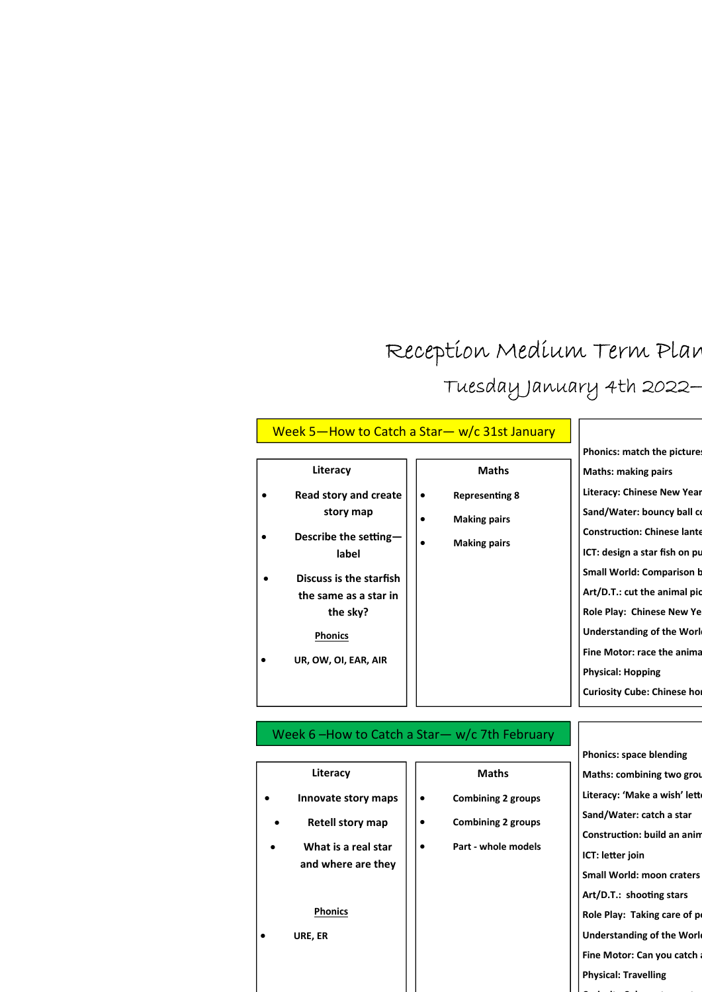## Reception Medium Term Plan Tuesday January 4th 2022-

| Literacy<br><b>Maths</b><br>Read story and create<br><b>Representing 8</b><br>$\bullet$                                                                         | Phonics: match the picture<br><b>Maths: making pairs</b><br><b>Literacy: Chinese New Year</b>                                                                         |
|-----------------------------------------------------------------------------------------------------------------------------------------------------------------|-----------------------------------------------------------------------------------------------------------------------------------------------------------------------|
| ٠<br>story map<br><b>Making pairs</b><br>Describe the setting-<br><b>Making pairs</b><br>label<br>Discuss is the starfish<br>$\bullet$<br>the same as a star in | Sand/Water: bouncy ball co<br><b>Construction: Chinese lante</b><br>ICT: design a star fish on pu<br><b>Small World: Comparison b</b><br>Art/D.T.: cut the animal pic |
| the sky?<br><b>Phonics</b><br>UR, OW, OI, EAR, AIR                                                                                                              | Role Play: Chinese New Ye<br><b>Understanding of the Work</b><br>Fine Motor: race the anima<br><b>Physical: Hopping</b><br><b>Curiosity Cube: Chinese hor</b>         |

| Literacy                                  |  | <b>Maths</b>              |  |
|-------------------------------------------|--|---------------------------|--|
| Innovate story maps                       |  | <b>Combining 2 groups</b> |  |
| <b>Retell story map</b>                   |  | <b>Combining 2 groups</b> |  |
| What is a real star<br>and where are they |  | Part - whole models       |  |
| <b>Phonics</b><br>URE, ER                 |  |                           |  |
|                                           |  |                           |  |

Phonics: space blending Maths: combining two group Literacy: 'Make a wish' lett Sand/Water: catch a star Construction: build an anin ICT: letter join Small World: moon craters Art/D.T.: shooting stars Role Play: Taking care of p Understanding of the Worl Fine Motor: Can you catch Physical: Travelling

Curiosity Cube: astronauts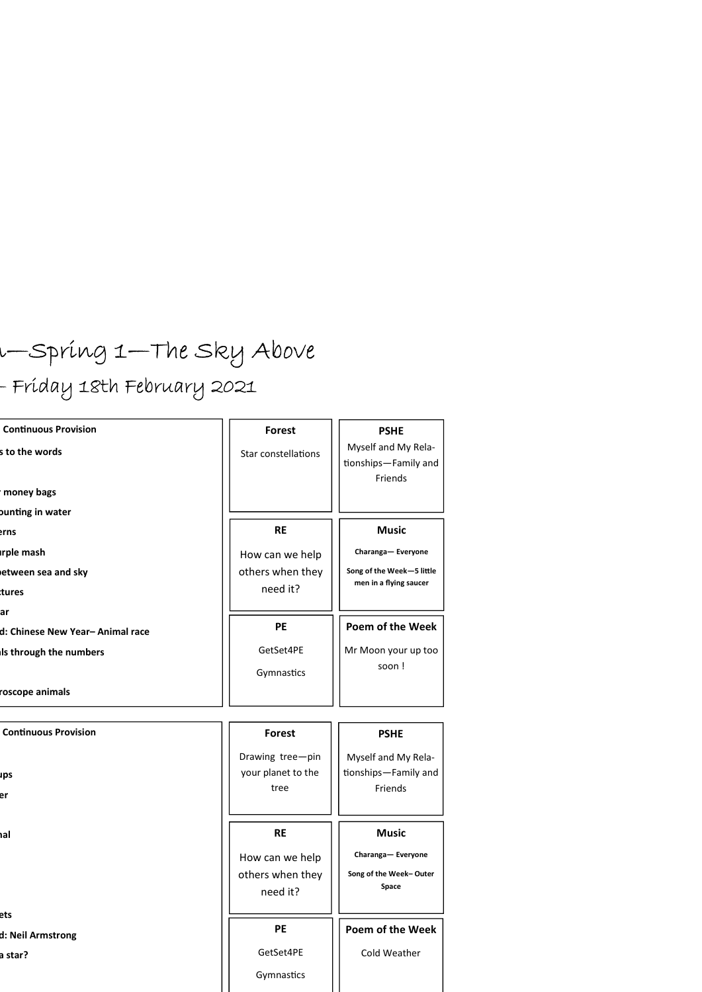# $u$ —Spring 1—The Sky Above

## - Friday 18th February 2021

| <b>Continuous Provision</b>      | Forest              | <b>PSHE</b>                                 |
|----------------------------------|---------------------|---------------------------------------------|
| s to the words                   | Star constellations | Myself and My Rela-<br>tionships-Family and |
|                                  |                     | Friends                                     |
| money bags                       |                     |                                             |
| bunting in water                 |                     |                                             |
| erns                             | <b>RE</b>           | <b>Music</b>                                |
| <b>Irple mash</b>                | How can we help     | Charanga-Everyone                           |
| etween sea and sky               | others when they    | Song of the Week-5 little                   |
| ttures                           | need it?            | men in a flying saucer                      |
| lar                              |                     |                                             |
| d: Chinese New Year- Animal race | <b>PE</b>           | Poem of the Week                            |
| Is through the numbers           | GetSet4PE           | Mr Moon your up too                         |
|                                  | Gymnastics          | soon!                                       |
| roscope animals                  |                     |                                             |
|                                  |                     |                                             |

| <b>Continuous Provision</b>  | <b>Forest</b>                                   | <b>PSHE</b>                                            |
|------------------------------|-------------------------------------------------|--------------------------------------------------------|
| ups<br>er                    | Drawing tree-pin<br>your planet to the<br>tree  | Myself and My Rela-<br>tionships-Family and<br>Friends |
| hal                          | <b>RE</b>                                       | <b>Music</b>                                           |
|                              | How can we help<br>others when they<br>need it? | Charanga-Everyone<br>Song of the Week-Outer<br>Space   |
| ets                          | <b>PE</b>                                       | Poem of the Week                                       |
| d: Neil Armstrong<br>a star? | GetSet4PE<br>Gymnastics                         | Cold Weather                                           |
|                              |                                                 |                                                        |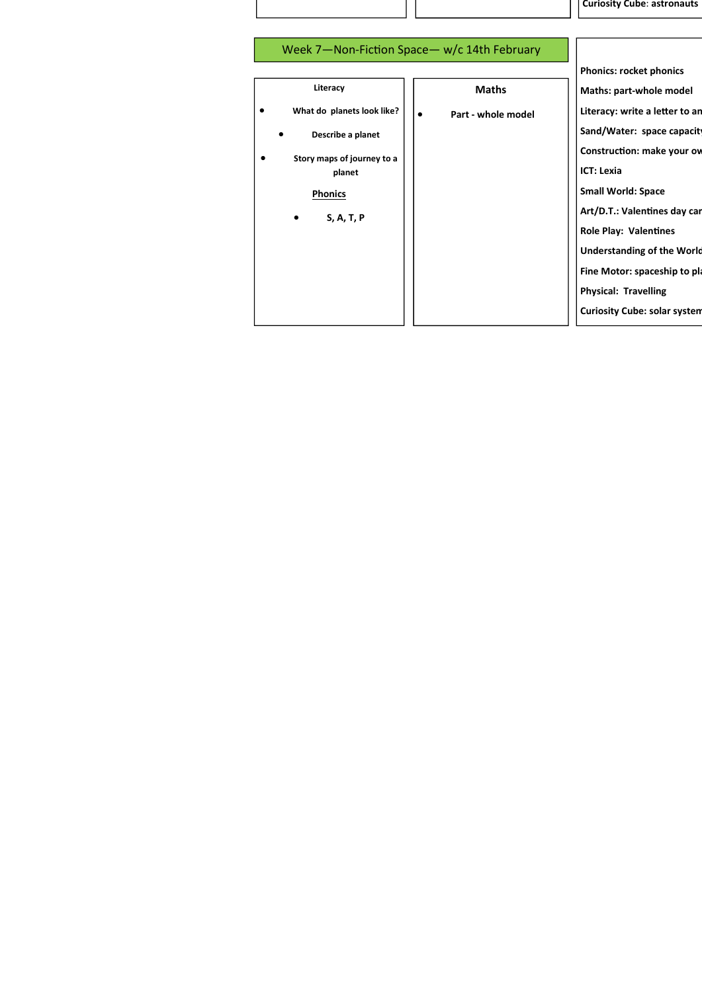Curiosity Cube: astronauts

|                            |                                 | <b>Phonics: rocket phonics</b>      |
|----------------------------|---------------------------------|-------------------------------------|
| Literacy                   | <b>Maths</b>                    | Maths: part-whole model             |
| What do planets look like? | Part - whole model<br>$\bullet$ | Literacy: write a letter to an      |
| Describe a planet          |                                 | Sand/Water: space capacity          |
| Story maps of journey to a |                                 | Construction: make your ov          |
| planet                     |                                 | <b>ICT: Lexia</b>                   |
| <b>Phonics</b>             |                                 | <b>Small World: Space</b>           |
| S, A, T, P<br>٠            |                                 | Art/D.T.: Valentines day car        |
|                            |                                 | <b>Role Play: Valentines</b>        |
|                            |                                 | <b>Understanding of the World</b>   |
|                            |                                 | Fine Motor: spaceship to pla        |
|                            |                                 | <b>Physical: Travelling</b>         |
|                            |                                 | <b>Curiosity Cube: solar system</b> |
|                            |                                 |                                     |